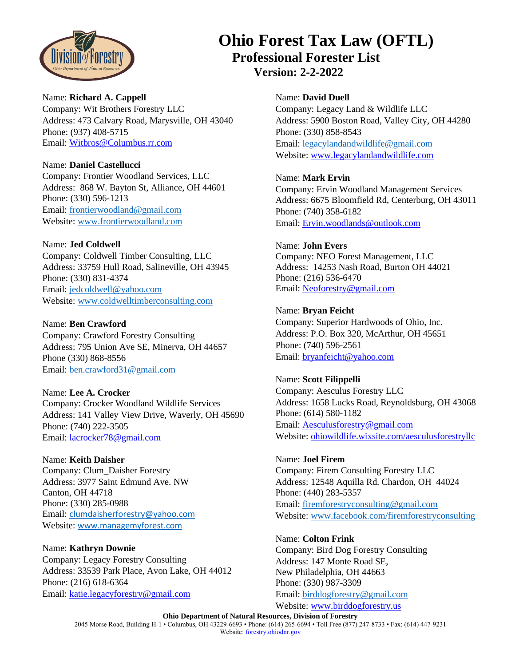

# **Ohio Forest Tax Law (OFTL) Professional Forester List Version: 2-2-2022**

#### Name: **Richard A. Cappell**

Company: Wit Brothers Forestry LLC Address: 473 Calvary Road, Marysville, OH 43040 Phone: (937) 408-5715 Email: [Witbros@Columbus.rr.com](mailto:Witbros@Columbus.rr.com)

# Name: **Daniel Castellucci**

Company: Frontier Woodland Services, LLC Address: 868 W. Bayton St, Alliance, OH 44601 Phone: (330) 596-1213 Email: [frontierwoodland@gmail.com](mailto:frontierwoodland@gmail.com) Website: [www.frontierwoodland.com](http://www.frontierwoodland.com/)

# Name: **Jed Coldwell**

Company: Coldwell Timber Consulting, LLC Address: 33759 Hull Road, Salineville, OH 43945 Phone: (330) 831-4374 Email: [jedcoldwell@yahoo.com](mailto:jedcoldwell@yahoo.com) Website: [www.coldwelltimberconsulting.com](http://www.coldwelltimberconsulting.com/)

## Name: **Ben Crawford**

Company: Crawford Forestry Consulting Address: 795 Union Ave SE, Minerva, OH 44657 Phone (330) 868-8556 Email: [ben.crawford31@gmail.com](mailto:ben.crawford31@gmail.com)

## Name: **Lee A. Crocker**

Company: Crocker Woodland Wildlife Services Address: 141 Valley View Drive, Waverly, OH 45690 Phone: (740) 222-3505 Email: [lacrocker78@gmail.com](mailto:lacrocker78@gmail.com)

# Name: **Keith Daisher**

Company: Clum\_Daisher Forestry Address: 3977 Saint Edmund Ave. NW Canton, OH 44718 Phone: (330) 285-0988 Email: [clumdaisherforestry@yahoo.com](mailto:clumdaisherforestry@yahoo.com) Website: [www.managemyforest.com](http://www.managemyforest.com/)

## Name: **Kathryn Downie**

Company: Legacy Forestry Consulting Address: 33539 Park Place, Avon Lake, OH 44012 Phone: (216) 618-6364 Email: [katie.legacyforestry@gmail.com](mailto:katie.legacyforestry@gmail.com)

#### Name: **David Duell**

Company: Legacy Land & Wildlife LLC Address: 5900 Boston Road, Valley City, OH 44280 Phone: (330) 858-8543 Email[: legacylandandwildlife@gmail.com](mailto:legacylandandwildlife@gmail.com) Website: [www.legacylandandwildlife.com](http://www.legacylandandwildlife.com/)

### Name: **Mark Ervin**

Company: Ervin Woodland Management Services Address: 6675 Bloomfield Rd, Centerburg, OH 43011 Phone: (740) 358-6182 Email[: Ervin.woodlands@outlook.com](mailto:Ervin.woodlands@outlook.com)

#### Name: **John Evers**

Company: NEO Forest Management, LLC Address: 14253 Nash Road, Burton OH 44021 Phone: (216) 536-6470 Email[: Neoforestry@gmail.com](mailto:Neoforestry@gmail.com)

#### Name: **Bryan Feicht**

Company: Superior Hardwoods of Ohio, Inc. Address: P.O. Box 320, McArthur, OH 45651 Phone: (740) 596-2561 Email[: bryanfeicht@yahoo.com](mailto:bryanfeicht@yahoo.com)

#### Name: **Scott Filippelli**

Company: Aesculus Forestry LLC Address: 1658 Lucks Road, Reynoldsburg, OH 43068 Phone: (614) 580-1182 Email[: Aesculusforestry@gmail.com](mailto:Aesculusforestry@gmail.com) Website: [ohiowildlife.wixsite.com/aesculusf](https://ohiowildlife.wixsite.com/aesculus)orestryllc

#### Name: **Joel Firem**

Company: Firem Consulting Forestry LLC Address: 12548 Aquilla Rd. Chardon, OH 44024 Phone: (440) 283-5357 Email[: firemforestryconsulting@gmail.com](mailto:firemforestryconsulting@gmail.com) Website: [www.facebook.com/firemforestryconsulting](http://www.facebook.com/firemforestryconsulting)

#### Name: **Colton Frink**

Company: Bird Dog Forestry Consulting Address: 147 Monte Road SE, New Philadelphia, OH 44663 Phone: (330) 987-3309 Email[: birddogforestry@gmail.com](mailto:birddogforestry@gmail.com) Website: [www.birddogforestry.us](http://www.birddogforestry.us/)

## **Ohio Department of Natural Resources, Division of Forestry**

2045 Morse Road, Building H-1 • Columbus, OH 43229-6693 • Phone: (614) 265-6694 • Toll Free (877) 247-8733 • Fax: (614) 447-9231 Website: forestry.ohiodnr.gov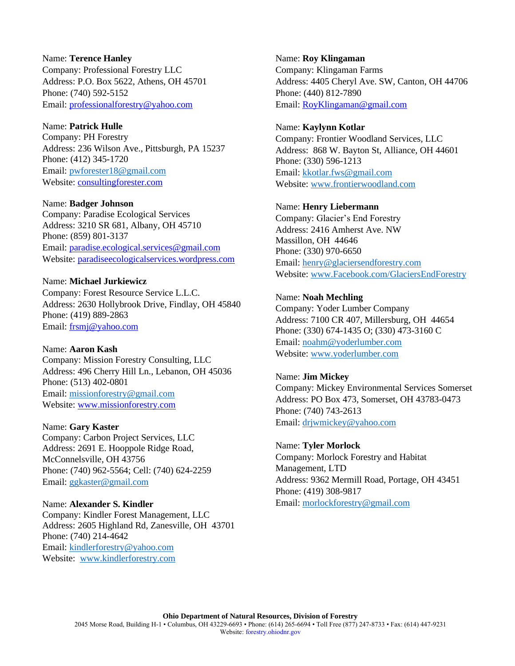# Name: **Terence Hanley** Company: Professional Forestry LLC Address: P.O. Box 5622, Athens, OH 45701 Phone: (740) 592-5152 Email: [professionalforestry@yahoo.com](mailto:professionalforestry@yahoo.com)

# Name: **Patrick Hulle**

Company: PH Forestry Address: 236 Wilson Ave., Pittsburgh, PA 15237 Phone: (412) 345-1720 Email: [pwforester18@gmail.com](mailto:pwforester18@gmail.com) Website: [consultingforester.com](https://paradiseecologicalservices.wordpress.com/)

# Name: **Badger Johnson**

Company: Paradise Ecological Services Address: 3210 SR 681, Albany, OH 45710 Phone: (859) 801-3137 Email: [paradise.ecological.services@gmail.com](mailto:paradise.ecological.services@gmail.com) Website: [paradiseecologicalservices.wordpress.com](https://paradiseecologicalservices.wordpress.com/)

# Name: **Michael Jurkiewicz**

Company: Forest Resource Service L.L.C. Address: 2630 Hollybrook Drive, Findlay, OH 45840 Phone: (419) 889-2863 Email: [frsmj@yahoo.com](mailto:frsmj@yahoo.com)

# Name: **Aaron Kash**

Company: Mission Forestry Consulting, LLC Address: 496 Cherry Hill Ln., Lebanon, OH 45036 Phone: (513) 402-0801 Email: [missionforestry@gmail.com](mailto:missionforestry@gmail.com) Website: www.missionforestry.com

# Name: **Gary Kaster**

Company: Carbon Project Services, LLC Address: 2691 E. Hooppole Ridge Road, McConnelsville, OH 43756 Phone: (740) 962-5564; Cell: (740) 624-2259 Email: [ggkaster@gmail.com](mailto:ggkaster@gmail.com)

# Name: **Alexander S. Kindler**

Company: Kindler Forest Management, LLC Address: 2605 Highland Rd, Zanesville, OH 43701 Phone: (740) 214-4642 Email: [kindlerforestry@yahoo.com](mailto:kindlerforestry@yahoo.com) Website: [www.kindlerforestry.com](http://www.kindlerforestry.com/)

## Name: **Roy Klingaman**

Company: Klingaman Farms Address: 4405 Cheryl Ave. SW, Canton, OH 44706 Phone: (440) 812-7890 Email[: RoyKlingaman@gmail.com](mailto:RoyKlingaman@gmail.com)

# Name: **Kaylynn Kotlar**

Company: Frontier Woodland Services, LLC Address: 868 W. Bayton St, Alliance, OH 44601 Phone: (330) 596-1213 Email[: kkotlar.fws@gmail.com](mailto:kkotlar.fws@gmail.com) Website: [www.frontierwoodland.com](http://www.frontierwoodland.com/)

# Name: **Henry Liebermann**

Company: Glacier's End Forestry Address: 2416 Amherst Ave. NW Massillon, OH 44646 Phone: (330) 970-6650 Email[: henry@glaciersendforestry.com](mailto:henry@glaciersendforestry.com) Website: [www.Facebook.com/GlaciersEndForestry](http://www.facebook.com/GlaciersEndForestry)

# Name: **Noah Mechling**

Company: Yoder Lumber Company Address: 7100 CR 407, Millersburg, OH 44654 Phone: (330) 674-1435 O; (330) 473-3160 C Email[: noahm@yoderlumber.com](mailto:noahm@yoderlumber.com) Website: [www.yoderlumber.com](http://www.yoderlumber.com/)

# Name: **Jim Mickey**

Company: Mickey Environmental Services Somerset Address: PO Box 473, Somerset, OH 43783-0473 Phone: (740) 743-2613 Email[: drjwmickey@yahoo.com](mailto:drjwmickey@yahoo.com)

# Name: **Tyler Morlock**

Company: Morlock Forestry and Habitat Management, LTD Address: 9362 Mermill Road, Portage, OH 43451 Phone: (419) 308-9817 Email[: morlockforestry@gmail.com](mailto:morlockforestry@gmail.com)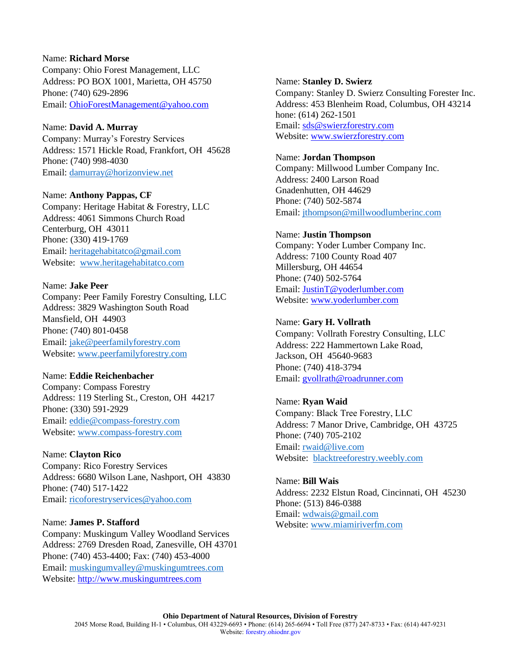## Name: **Richard Morse**

Company: Ohio Forest Management, LLC Address: PO BOX 1001, Marietta, OH 45750 Phone: (740) 629-2896 Email: [OhioForestManagement@yahoo.com](mailto:OhioForestManagement@yahoo.com)

## Name: **David A. Murray**

Company: Murray's Forestry Services Address: 1571 Hickle Road, Frankfort, OH 45628 Phone: (740) 998-4030 Email: [damurray@horizonview.net](mailto:damurray@horizonview.net)

## Name: **Anthony Pappas, CF**

Company: Heritage Habitat & Forestry, LLC Address: 4061 Simmons Church Road Centerburg, OH 43011 Phone: (330) 419-1769 Email: [heritagehabitatco@gmail.com](mailto:heritagehabitatco@gmail.com) Website: [www.heritagehabitatco.com](file:///C:/Users/10065946/Documents/OFTL/OFTL%20Forester%20List/www.heritagehabitatco.com)

#### Name: **Jake Peer**

Company: Peer Family Forestry Consulting, LLC Address: 3829 Washington South Road Mansfield, OH 44903 Phone: (740) 801-0458 Email: [jake@peerfamilyforestry.com](file:///C:/Users/10065946/Documents/OFTL/OFTL%20Forester%20List/jake@peerfamilyforestry.com) Website: [www.peerfamilyforestry.com](http://www.peerfamilyforestry.com/)

# Name: **Eddie Reichenbacher**

Company: Compass Forestry Address: 119 Sterling St., Creston, OH 44217 Phone: (330) 591-2929 Email: [eddie@compass-forestry.com](mailto:eddie@compass-forestry.com) Website: [www.compass-forestry.com](http://www.compass-forestry.com/)

## Name: **Clayton Rico**

Company: Rico Forestry Services Address: 6680 Wilson Lane, Nashport, OH 43830 Phone: (740) 517-1422 Email: [ricoforestryservices@yahoo.com](mailto:ricoforestryservices@yahoo.com)

## Name: **James P. Stafford**

Company: Muskingum Valley Woodland Services Address: 2769 Dresden Road, Zanesville, OH 43701 Phone: (740) 453-4400; Fax: (740) 453-4000 Email: [muskingumvalley@muskingumtrees.com](mailto:muskingumvalley@muskingumtrees.com) Website: [http://www.muskingumtrees.com](http://www.muskingumtrees.com/)

#### Name: **Stanley D. Swierz**

Company: Stanley D. Swierz Consulting Forester Inc. Address: 453 Blenheim Road, Columbus, OH 43214 hone: (614) 262-1501 Email[: sds@swierzforestry.com](mailto:sds@swierzforestry.com) Website: [www.swierzforestry.com](http://www.swierzforestry.com/)

#### Name: **Jordan Thompson**

Company: Millwood Lumber Company Inc. Address: 2400 Larson Road Gnadenhutten, OH 44629 Phone: (740) 502-5874 Email[: jthompson@millwoodlumberinc.com](mailto:jthompson@millwoodlumberinc.com)

#### Name: **Justin Thompson**

Company: Yoder Lumber Company Inc. Address: 7100 County Road 407 Millersburg, OH 44654 Phone: (740) 502-5764 Email[: JustinT@yoderlumber.com](mailto:JustinT@yoderlumber.com) Website: [www.yoderlumber.com](http://www.yoderlumber.com/)

#### Name: **Gary H. Vollrath**

Company: Vollrath Forestry Consulting, LLC Address: 222 Hammertown Lake Road, Jackson, OH 45640-9683 Phone: (740) 418-3794 Email[: gvollrath@roadrunner.com](mailto:gvollrath@roadrunner.com/)

#### Name: **Ryan Waid**

Company: Black Tree Forestry, LLC Address: 7 Manor Drive, Cambridge, OH 43725 Phone: (740) 705-2102 Email[: rwaid@live.com](file:///C:/Users/10065946/Documents/OFTL/OFTL%20Forester%20List/rwaid@live.com) Website: [blacktreeforestry.weebly.com](file:///C:/Users/10065946/Documents/OFTL/OFTL%20Forester%20List/blacktreeforestry.weebly.com)

Name: **Bill Wais** Address: 2232 Elstun Road, Cincinnati, OH 45230 Phone: (513) 846-0388 Email[: wdwais@gmail.com](mailto:wdwais@gmail.com) Website: [www.miamiriverfm.com](http://www.miamiriverfm.com/)